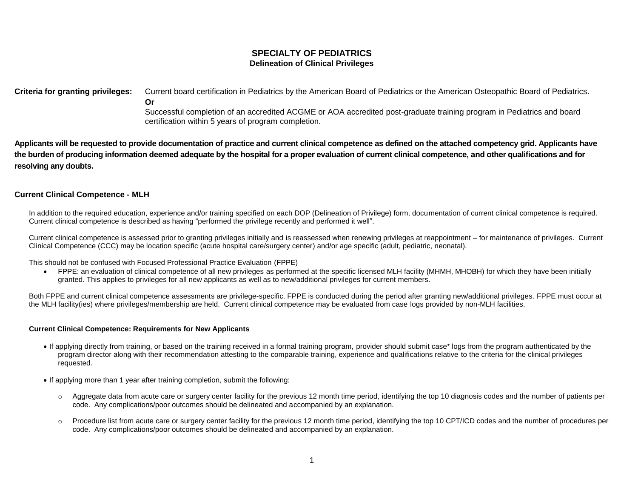# **SPECIALTY OF PEDIATRICS Delineation of Clinical Privileges**

**Criteria for granting privileges:** Current board certification in Pediatrics by the American Board of Pediatrics or the American Osteopathic Board of Pediatrics. **Or**

> Successful completion of an accredited ACGME or AOA accredited post-graduate training program in Pediatrics and board certification within 5 years of program completion.

**Applicants will be requested to provide documentation of practice and current clinical competence as defined on the attached competency grid. Applicants have the burden of producing information deemed adequate by the hospital for a proper evaluation of current clinical competence, and other qualifications and for resolving any doubts.**

# **Current Clinical Competence - MLH**

In addition to the required education, experience and/or training specified on each DOP (Delineation of Privilege) form, documentation of current clinical competence is required. Current clinical competence is described as having "performed the privilege recently and performed it well".

Current clinical competence is assessed prior to granting privileges initially and is reassessed when renewing privileges at reappointment – for maintenance of privileges. Current Clinical Competence (CCC) may be location specific (acute hospital care/surgery center) and/or age specific (adult, pediatric, neonatal).

This should not be confused with Focused Professional Practice Evaluation (FPPE)

 FPPE: an evaluation of clinical competence of all new privileges as performed at the specific licensed MLH facility (MHMH, MHOBH) for which they have been initially granted. This applies to privileges for all new applicants as well as to new/additional privileges for current members.

Both FPPE and current clinical competence assessments are privilege-specific. FPPE is conducted during the period after granting new/additional privileges. FPPE must occur at the MLH facility(ies) where privileges/membership are held. Current clinical competence may be evaluated from case logs provided by non-MLH facilities.

### **Current Clinical Competence: Requirements for New Applicants**

- If applying directly from training, or based on the training received in a formal training program, provider should submit case\* logs from the program authenticated by the program director along with their recommendation attesting to the comparable training, experience and qualifications relative to the criteria for the clinical privileges requested.
- If applying more than 1 year after training completion, submit the following:
	- $\circ$  Aggregate data from acute care or surgery center facility for the previous 12 month time period, identifying the top 10 diagnosis codes and the number of patients per code. Any complications/poor outcomes should be delineated and accompanied by an explanation.
	- o Procedure list from acute care or surgery center facility for the previous 12 month time period, identifying the top 10 CPT/ICD codes and the number of procedures per code. Any complications/poor outcomes should be delineated and accompanied by an explanation.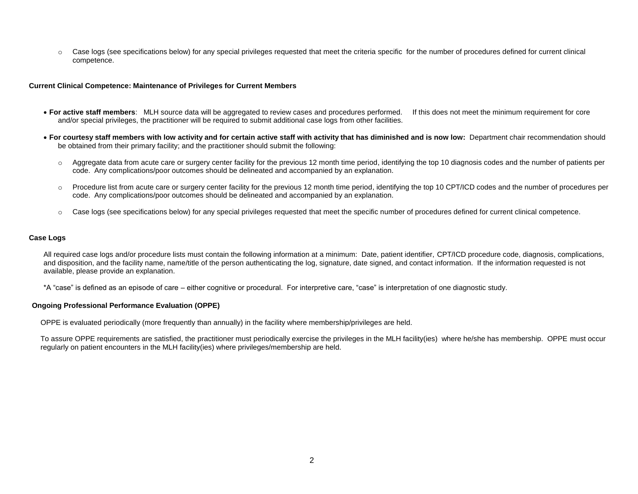o Case logs (see specifications below) for any special privileges requested that meet the criteria specific for the number of procedures defined for current clinical competence.

### **Current Clinical Competence: Maintenance of Privileges for Current Members**

- **For active staff members**: MLH source data will be aggregated to review cases and procedures performed. If this does not meet the minimum requirement for core and/or special privileges, the practitioner will be required to submit additional case logs from other facilities.
- **For courtesy staff members with low activity and for certain active staff with activity that has diminished and is now low:** Department chair recommendation should be obtained from their primary facility; and the practitioner should submit the following:
	- o Aggregate data from acute care or surgery center facility for the previous 12 month time period, identifying the top 10 diagnosis codes and the number of patients per code. Any complications/poor outcomes should be delineated and accompanied by an explanation.
	- o Procedure list from acute care or surgery center facility for the previous 12 month time period, identifying the top 10 CPT/ICD codes and the number of procedures per code. Any complications/poor outcomes should be delineated and accompanied by an explanation.
	- o Case logs (see specifications below) for any special privileges requested that meet the specific number of procedures defined for current clinical competence.

### **Case Logs**

All required case logs and/or procedure lists must contain the following information at a minimum: Date, patient identifier, CPT/ICD procedure code, diagnosis, complications, and disposition, and the facility name, name/title of the person authenticating the log, signature, date signed, and contact information. If the information requested is not available, please provide an explanation.

\*A "case" is defined as an episode of care – either cognitive or procedural. For interpretive care, "case" is interpretation of one diagnostic study.

### **Ongoing Professional Performance Evaluation (OPPE)**

OPPE is evaluated periodically (more frequently than annually) in the facility where membership/privileges are held.

To assure OPPE requirements are satisfied, the practitioner must periodically exercise the privileges in the MLH facility(ies) where he/she has membership. OPPE must occur regularly on patient encounters in the MLH facility(ies) where privileges/membership are held.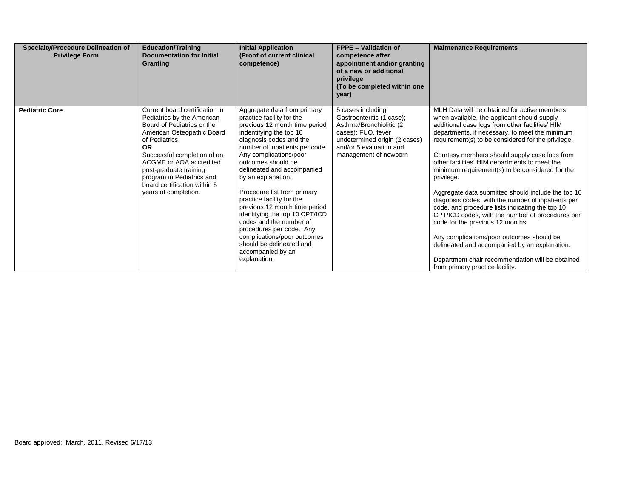| <b>Specialty/Procedure Delineation of</b><br><b>Privilege Form</b> | <b>Education/Training</b><br><b>Documentation for Initial</b><br>Granting                                                                                                                                                                                                                                                        | <b>Initial Application</b><br>(Proof of current clinical<br>competence)                                                                                                                                                                                                                                                                                                                                                                                                                                                                                                     | <b>FPPE - Validation of</b><br>competence after<br>appointment and/or granting<br>of a new or additional<br>privilege<br>(To be completed within one<br>year)                         | <b>Maintenance Requirements</b>                                                                                                                                                                                                                                                                                                                                                                                                                                                                                                                                                                                                                                                                                                                                                                                                                                       |
|--------------------------------------------------------------------|----------------------------------------------------------------------------------------------------------------------------------------------------------------------------------------------------------------------------------------------------------------------------------------------------------------------------------|-----------------------------------------------------------------------------------------------------------------------------------------------------------------------------------------------------------------------------------------------------------------------------------------------------------------------------------------------------------------------------------------------------------------------------------------------------------------------------------------------------------------------------------------------------------------------------|---------------------------------------------------------------------------------------------------------------------------------------------------------------------------------------|-----------------------------------------------------------------------------------------------------------------------------------------------------------------------------------------------------------------------------------------------------------------------------------------------------------------------------------------------------------------------------------------------------------------------------------------------------------------------------------------------------------------------------------------------------------------------------------------------------------------------------------------------------------------------------------------------------------------------------------------------------------------------------------------------------------------------------------------------------------------------|
| <b>Pediatric Core</b>                                              | Current board certification in<br>Pediatrics by the American<br>Board of Pediatrics or the<br>American Osteopathic Board<br>of Pediatrics.<br><b>OR</b><br>Successful completion of an<br>ACGME or AOA accredited<br>post-graduate training<br>program in Pediatrics and<br>board certification within 5<br>years of completion. | Aggregate data from primary<br>practice facility for the<br>previous 12 month time period<br>indentifying the top 10<br>diagnosis codes and the<br>number of inpatients per code.<br>Any complications/poor<br>outcomes should be<br>delineated and accompanied<br>by an explanation.<br>Procedure list from primary<br>practice facility for the<br>previous 12 month time period<br>identifying the top 10 CPT/ICD<br>codes and the number of<br>procedures per code. Any<br>complications/poor outcomes<br>should be delineated and<br>accompanied by an<br>explanation. | 5 cases including<br>Gastroenteritis (1 case);<br>Asthma/Bronchiolitic (2)<br>cases); FUO, fever<br>undetermined origin (2 cases)<br>and/or 5 evaluation and<br>management of newborn | MLH Data will be obtained for active members<br>when available, the applicant should supply<br>additional case logs from other facilities' HIM<br>departments, if necessary, to meet the minimum<br>requirement(s) to be considered for the privilege.<br>Courtesy members should supply case logs from<br>other facilities' HIM departments to meet the<br>minimum requirement(s) to be considered for the<br>privilege.<br>Aggregate data submitted should include the top 10<br>diagnosis codes, with the number of inpatients per<br>code, and procedure lists indicating the top 10<br>CPT/ICD codes, with the number of procedures per<br>code for the previous 12 months.<br>Any complications/poor outcomes should be<br>delineated and accompanied by an explanation.<br>Department chair recommendation will be obtained<br>from primary practice facility. |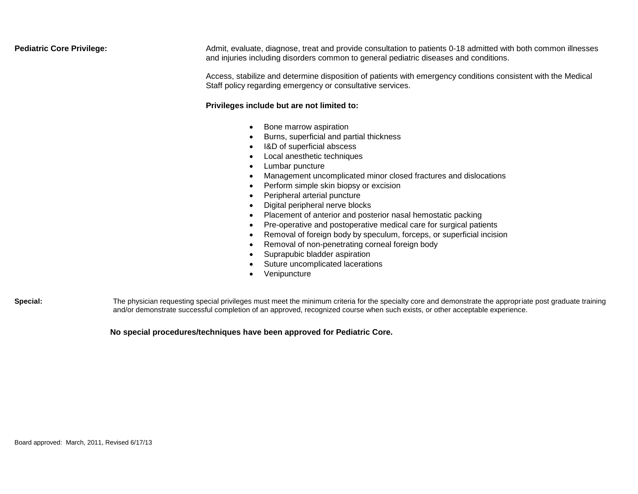**Pediatric Core Privilege: Admit**, evaluate, diagnose, treat and provide consultation to patients 0-18 admitted with both common illnesses and injuries including disorders common to general pediatric diseases and conditions.

> Access, stabilize and determine disposition of patients with emergency conditions consistent with the Medical Staff policy regarding emergency or consultative services.

### **Privileges include but are not limited to:**

- Bone marrow aspiration
- Burns, superficial and partial thickness
- I&D of superficial abscess
- Local anesthetic techniques
- Lumbar puncture
- Management uncomplicated minor closed fractures and dislocations
- Perform simple skin biopsy or excision
- Peripheral arterial puncture
- Digital peripheral nerve blocks
- Placement of anterior and posterior nasal hemostatic packing
- Pre-operative and postoperative medical care for surgical patients
- Removal of foreign body by speculum, forceps, or superficial incision
- Removal of non-penetrating corneal foreign body
- Suprapubic bladder aspiration
- Suture uncomplicated lacerations
- Venipuncture

Special: The physician requesting special privileges must meet the minimum criteria for the specialty core and demonstrate the appropriate post graduate training and/or demonstrate successful completion of an approved, recognized course when such exists, or other acceptable experience.

# **No special procedures/techniques have been approved for Pediatric Core.**